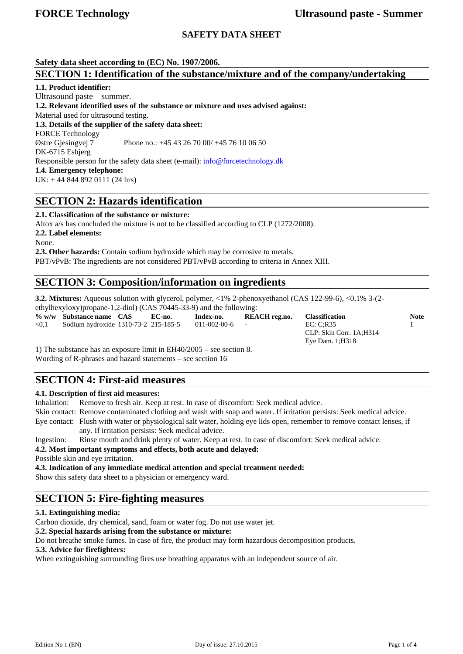Eye Dam. 1;H318

## **SAFETY DATA SHEET**

**Safety data sheet according to (EC) No. 1907/2006.** 

## **SECTION 1: Identification of the substance/mixture and of the company/undertaking**

### **1.1. Product identifier:**

Ultrasound paste – summer. **1.2. Relevant identified uses of the substance or mixture and uses advised against:**  Material used for ultrasound testing. **1.3. Details of the supplier of the safety data sheet:**  FORCE Technology Østre Gjesingvej 7 Phone no.: +45 43 26 70 00/ +45 76 10 06 50 DK-6715 Esbjerg Responsible person for the safety data sheet (e-mail): info@forcetechnology.dk **1.4. Emergency telephone:**  UK: + 44 844 892 0111 (24 hrs)

# **SECTION 2: Hazards identification**

**2.1. Classification of the substance or mixture:**  Altox a/s has concluded the mixture is not to be classified according to CLP (1272/2008). **2.2. Label elements:** 

None.

**2.3. Other hazards:** Contain sodium hydroxide which may be corrosive to metals. PBT/vPvB: The ingredients are not considered PBT/vPvB according to criteria in Annex XIII.

# **SECTION 3: Composition/information on ingredients**

**3.2. Mixtures:** Aqueous solution with glycerol, polymer, <1% 2-phenoxyethanol (CAS 122-99-6), <0,1% 3-(2-

ethylhexyloxy)propane-1,2-diol) (CAS 70445-33-9) and the following:

**% w/w Substance name CAS EC-no. Index-no. REACH reg.no. Classification Note**  <0,1 Sodium hydroxide 1310-73-2 215-185-5 011-002-00-6 - EC: C;R35 1 CLP: Skin Corr. 1A;H314

1) The substance has an exposure limit in EH40/2005 – see section 8. Wording of R-phrases and hazard statements – see section 16

# **SECTION 4: First-aid measures**

## **4.1. Description of first aid measures:**

Inhalation: Remove to fresh air. Keep at rest. In case of discomfort: Seek medical advice.

Skin contact: Remove contaminated clothing and wash with soap and water. If irritation persists: Seek medical advice.

Eye contact: Flush with water or physiological salt water, holding eye lids open, remember to remove contact lenses, if any. If irritation persists: Seek medical advice.

Ingestion: Rinse mouth and drink plenty of water. Keep at rest. In case of discomfort: Seek medical advice.

**4.2. Most important symptoms and effects, both acute and delayed:** 

Possible skin and eye irritation.

**4.3. Indication of any immediate medical attention and special treatment needed:**

Show this safety data sheet to a physician or emergency ward.

# **SECTION 5: Fire-fighting measures**

## **5.1. Extinguishing media:**

Carbon dioxide, dry chemical, sand, foam or water fog. Do not use water jet.

**5.2. Special hazards arising from the substance or mixture:** 

Do not breathe smoke fumes. In case of fire, the product may form hazardous decomposition products.

#### **5.3. Advice for firefighters:**

When extinguishing surrounding fires use breathing apparatus with an independent source of air.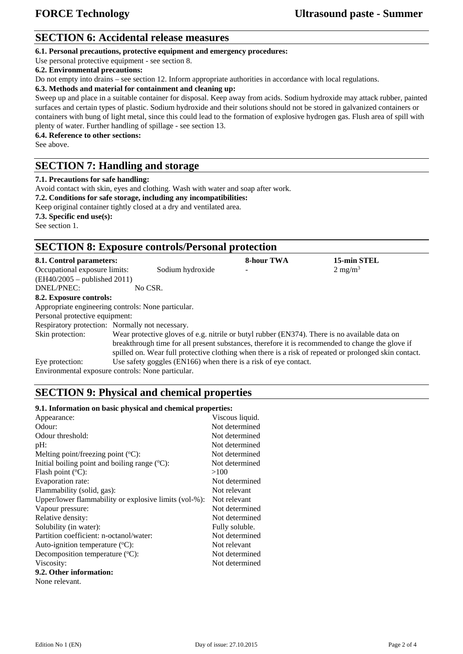# **SECTION 6: Accidental release measures**

**6.1. Personal precautions, protective equipment and emergency procedures:** 

Use personal protective equipment - see section 8.

### **6.2. Environmental precautions:**

Do not empty into drains – see section 12. Inform appropriate authorities in accordance with local regulations.

#### **6.3. Methods and material for containment and cleaning up:**

Sweep up and place in a suitable container for disposal. Keep away from acids. Sodium hydroxide may attack rubber, painted surfaces and certain types of plastic. Sodium hydroxide and their solutions should not be stored in galvanized containers or containers with bung of light metal, since this could lead to the formation of explosive hydrogen gas. Flush area of spill with plenty of water. Further handling of spillage - see section 13.

**6.4. Reference to other sections:** 

See above.

## **SECTION 7: Handling and storage**

#### **7.1. Precautions for safe handling:**

Avoid contact with skin, eyes and clothing. Wash with water and soap after work.

**7.2. Conditions for safe storage, including any incompatibilities:** 

Keep original container tightly closed at a dry and ventilated area. **7.3. Specific end use(s):**

See section 1.

# **SECTION 8: Exposure controls/Personal protection**

| 8.1. Control parameters:                           |                                                                                                                                                                                                   |                                                                 | <b>8-hour TWA</b>                                                                                     | 15-min STEL        |  |
|----------------------------------------------------|---------------------------------------------------------------------------------------------------------------------------------------------------------------------------------------------------|-----------------------------------------------------------------|-------------------------------------------------------------------------------------------------------|--------------------|--|
| Occupational exposure limits:                      |                                                                                                                                                                                                   | Sodium hydroxide                                                | $\overline{\phantom{0}}$                                                                              | $2 \text{ mg/m}^3$ |  |
| $(EH40/2005 - \text{published } 2011)$             |                                                                                                                                                                                                   |                                                                 |                                                                                                       |                    |  |
| DNEL/PNEC:                                         | No CSR.                                                                                                                                                                                           |                                                                 |                                                                                                       |                    |  |
| 8.2. Exposure controls:                            |                                                                                                                                                                                                   |                                                                 |                                                                                                       |                    |  |
| Appropriate engineering controls: None particular. |                                                                                                                                                                                                   |                                                                 |                                                                                                       |                    |  |
| Personal protective equipment:                     |                                                                                                                                                                                                   |                                                                 |                                                                                                       |                    |  |
| Respiratory protection: Normally not necessary.    |                                                                                                                                                                                                   |                                                                 |                                                                                                       |                    |  |
| Skin protection:                                   | Wear protective gloves of e.g. nitrile or butyl rubber (EN374). There is no available data on<br>breakthrough time for all present substances, therefore it is recommended to change the glove if |                                                                 |                                                                                                       |                    |  |
|                                                    |                                                                                                                                                                                                   |                                                                 |                                                                                                       |                    |  |
|                                                    |                                                                                                                                                                                                   |                                                                 | spilled on. Wear full protective clothing when there is a risk of repeated or prolonged skin contact. |                    |  |
| Eye protection:                                    |                                                                                                                                                                                                   | Use safety goggles (EN166) when there is a risk of eye contact. |                                                                                                       |                    |  |
| Environmental exposure controls: None particular.  |                                                                                                                                                                                                   |                                                                 |                                                                                                       |                    |  |

# **SECTION 9: Physical and chemical properties**

#### **9.1. Information on basic physical and chemical properties:**

| Appearance:                                           | Viscous liquid. |
|-------------------------------------------------------|-----------------|
| Odour:                                                | Not determined  |
| Odour threshold:                                      | Not determined  |
| pH:                                                   | Not determined  |
| Melting point/freezing point $({}^{\circ}C)$ :        | Not determined  |
| Initial boiling point and boiling range $(°C)$ :      | Not determined  |
| Flash point $(^{\circ}C)$ :                           | >100            |
| Evaporation rate:                                     | Not determined  |
| Flammability (solid, gas):                            | Not relevant    |
| Upper/lower flammability or explosive limits (vol-%): | Not relevant    |
| Vapour pressure:                                      | Not determined  |
| Relative density:                                     | Not determined  |
| Solubility (in water):                                | Fully soluble.  |
| Partition coefficient: n-octanol/water:               | Not determined  |
| Auto-ignition temperature $({}^{\circ}C)$ :           | Not relevant    |
| Decomposition temperature $(^{\circ}C)$ :             | Not determined  |
| Viscosity:                                            | Not determined  |
| 9.2. Other information:                               |                 |
| None relevant.                                        |                 |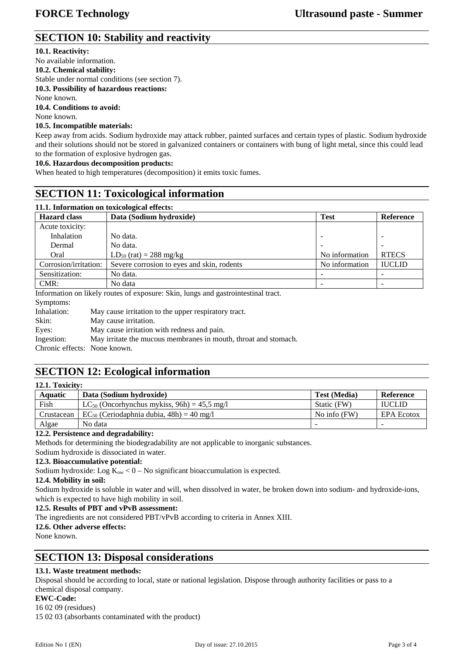# **SECTION 10: Stability and reactivity**

## **10.1. Reactivity:**

No available information. **10.2. Chemical stability:**  Stable under normal conditions (see section 7). **10.3. Possibility of hazardous reactions:**  None known. **10.4. Conditions to avoid:**  None known.

## **10.5. Incompatible materials:**

Keep away from acids. Sodium hydroxide may attack rubber, painted surfaces and certain types of plastic. Sodium hydroxide and their solutions should not be stored in galvanized containers or containers with bung of light metal, since this could lead to the formation of explosive hydrogen gas.

### **10.6. Hazardous decomposition products:**

When heated to high temperatures (decomposition) it emits toxic fumes.

# **SECTION 11: Toxicological information**

| 11.1. Information on toxicological effects:                                       |                                            |                |                  |  |  |  |  |
|-----------------------------------------------------------------------------------|--------------------------------------------|----------------|------------------|--|--|--|--|
| <b>Hazard class</b>                                                               | Data (Sodium hydroxide)                    |                | <b>Reference</b> |  |  |  |  |
| Acute toxicity:                                                                   |                                            |                |                  |  |  |  |  |
| Inhalation                                                                        | No data.                                   |                |                  |  |  |  |  |
| Dermal                                                                            | No data.                                   |                |                  |  |  |  |  |
| Oral                                                                              | $LD_{50}$ (rat) = 288 mg/kg                | No information | <b>RTECS</b>     |  |  |  |  |
| Corrosion/irritation:                                                             | Severe corrosion to eyes and skin, rodents | No information | <b>IUCLID</b>    |  |  |  |  |
| Sensitization:                                                                    | No data.                                   |                |                  |  |  |  |  |
| CMR:                                                                              | No data                                    |                |                  |  |  |  |  |
| Information on likely routes of exposure: Skin, lungs and gastrointestinal tract. |                                            |                |                  |  |  |  |  |

Symptoms: Inhalation: May cause irritation to the upper respiratory tract. Skin: May cause irritation. Eyes: May cause irritation with redness and pain. Ingestion: May irritate the mucous membranes in mouth, throat and stomach. Chronic effects: None known.

# **SECTION 12: Ecological information**

| 12.1. Toxicity: |                                                            |                     |                   |  |  |  |
|-----------------|------------------------------------------------------------|---------------------|-------------------|--|--|--|
| Aquatic         | Data (Sodium hydroxide)                                    | <b>Test (Media)</b> | Reference         |  |  |  |
| Fish            | LC <sub>50</sub> (Oncorhynchus mykiss, $96h$ ) = 45.5 mg/l | Static (FW)         | <b>IUCLID</b>     |  |  |  |
| Crustacean      | $EC_{50}$ (Ceriodaphnia dubia, 48h) = 40 mg/l              | No info $(FW)$      | <b>EPA Ecotox</b> |  |  |  |
| Algae           | No data                                                    |                     | -                 |  |  |  |

## **12.2. Persistence and degradability:**

Methods for determining the biodegradability are not applicable to inorganic substances.

Sodium hydroxide is dissociated in water.

### **12.3. Bioaccumulative potential:**

Sodium hydroxide: Log  $K_{ow}$  < 0 – No significant bioaccumulation is expected.

### **12.4. Mobility in soil:**

Sodium hydroxide is soluble in water and will, when dissolved in water, be broken down into sodium- and hydroxide-ions, which is expected to have high mobility in soil.

### **12.5. Results of PBT and vPvB assessment:**

The ingredients are not considered PBT/vPvB according to criteria in Annex XIII.

#### **12.6. Other adverse effects:**

None known.

**12.1. Toxicity:**

# **SECTION 13: Disposal considerations**

## **13.1. Waste treatment methods:**

Disposal should be according to local, state or national legislation. Dispose through authority facilities or pass to a chemical disposal company.

#### **EWC-Code:**

16 02 09 (residues)

15 02 03 (absorbants contaminated with the product)